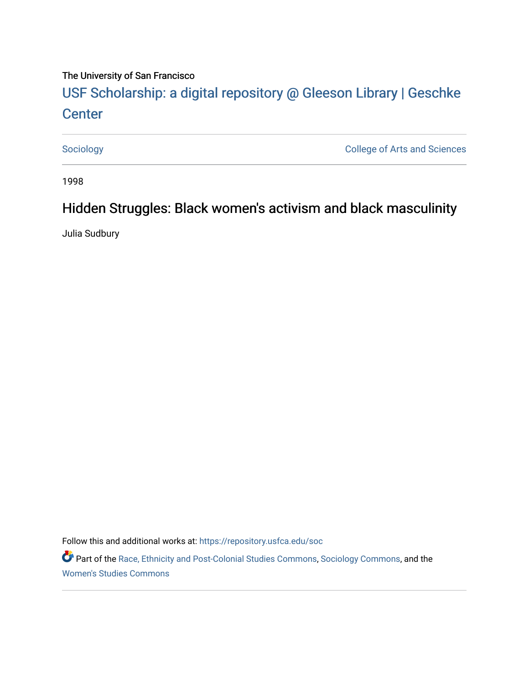## The University of San Francisco

# USF Scholarship: [a digital repository @ Gleeson Libr](https://repository.usfca.edu/)ary | Geschke **Center**

[Sociology](https://repository.usfca.edu/soc) **College of Arts and Sciences** 

1998

## Hidden Struggles: Black women's activism and black masculinity

Julia Sudbury

Follow this and additional works at: [https://repository.usfca.edu/soc](https://repository.usfca.edu/soc?utm_source=repository.usfca.edu%2Fsoc%2F12&utm_medium=PDF&utm_campaign=PDFCoverPages) 

Part of the [Race, Ethnicity and Post-Colonial Studies Commons,](http://network.bepress.com/hgg/discipline/566?utm_source=repository.usfca.edu%2Fsoc%2F12&utm_medium=PDF&utm_campaign=PDFCoverPages) [Sociology Commons,](http://network.bepress.com/hgg/discipline/416?utm_source=repository.usfca.edu%2Fsoc%2F12&utm_medium=PDF&utm_campaign=PDFCoverPages) and the [Women's Studies Commons](http://network.bepress.com/hgg/discipline/561?utm_source=repository.usfca.edu%2Fsoc%2F12&utm_medium=PDF&utm_campaign=PDFCoverPages)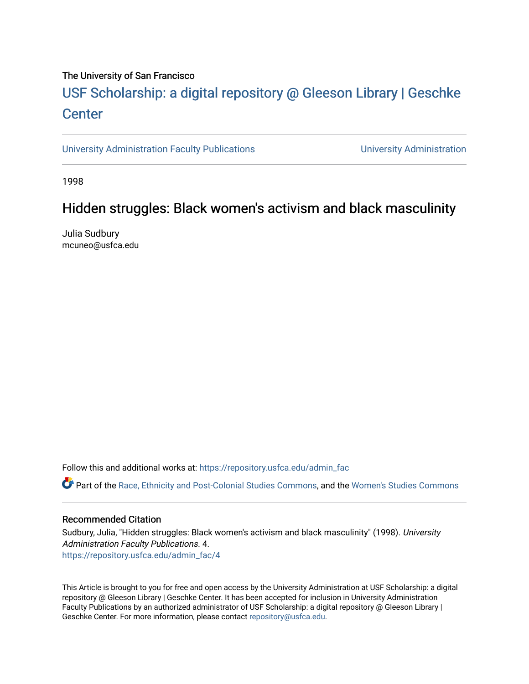## The University of San Francisco

## USF Scholarship: [a digital repository @ Gleeson Libr](https://repository.usfca.edu/)ary | Geschke **Center**

[University Administration Faculty Publications](https://repository.usfca.edu/admin_fac) **Example 20 Index** University Administration

1998

## Hidden struggles: Black women's activism and black masculinity

Julia Sudbury mcuneo@usfca.edu

Follow this and additional works at: [https://repository.usfca.edu/admin\\_fac](https://repository.usfca.edu/admin_fac?utm_source=repository.usfca.edu%2Fadmin_fac%2F4&utm_medium=PDF&utm_campaign=PDFCoverPages)

Part of the [Race, Ethnicity and Post-Colonial Studies Commons,](http://network.bepress.com/hgg/discipline/566?utm_source=repository.usfca.edu%2Fadmin_fac%2F4&utm_medium=PDF&utm_campaign=PDFCoverPages) and the [Women's Studies Commons](http://network.bepress.com/hgg/discipline/561?utm_source=repository.usfca.edu%2Fadmin_fac%2F4&utm_medium=PDF&utm_campaign=PDFCoverPages)

### Recommended Citation

Sudbury, Julia, "Hidden struggles: Black women's activism and black masculinity" (1998). University Administration Faculty Publications. 4. [https://repository.usfca.edu/admin\\_fac/4](https://repository.usfca.edu/admin_fac/4?utm_source=repository.usfca.edu%2Fadmin_fac%2F4&utm_medium=PDF&utm_campaign=PDFCoverPages)

This Article is brought to you for free and open access by the University Administration at USF Scholarship: a digital repository @ Gleeson Library | Geschke Center. It has been accepted for inclusion in University Administration Faculty Publications by an authorized administrator of USF Scholarship: a digital repository @ Gleeson Library | Geschke Center. For more information, please contact [repository@usfca.edu](mailto:repository@usfca.edu).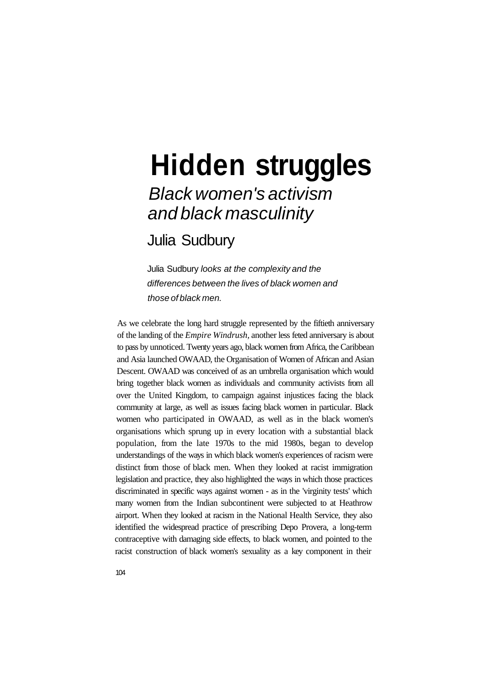# Black women's activism and black masculinity

## Julia Sudbury

Julia Sudbury looks at the complexity and the differences between the lives of black women and those of black men.

As we celebrate the long hard struggle represented by the fiftieth anniversary of the landing of the *Empire Windrush,* another less feted anniversary is about to pass by unnoticed. Twenty years ago, black women from Africa, the Caribbean and Asia launched OWAAD, the Organisation of Women of African and Asian Descent. OWAAD was conceived of as an umbrella organisation which would bring together black women as individuals and community activists from all over the United Kingdom, to campaign against injustices facing the black community at large, as well as issues facing black women in particular. Black women who participated in OWAAD, as well as in the black women's organisations which sprung up in every location with a substantial black population, from the late 1970s to the mid 1980s, began to develop understandings of the ways in which black women's experiences of racism were distinct from those of black men. When they looked at racist immigration legislation and practice, they also highlighted the ways in which those practices discriminated in specific ways against women - as in the 'virginity tests' which many women from the Indian subcontinent were subjected to at Heathrow airport. When they looked at racism in the National Health Service, they also identified the widespread practice of prescribing Depo Provera, a long-term contraceptive with damaging side effects, to black women, and pointed to the racist construction of black women's sexuality as a key component in their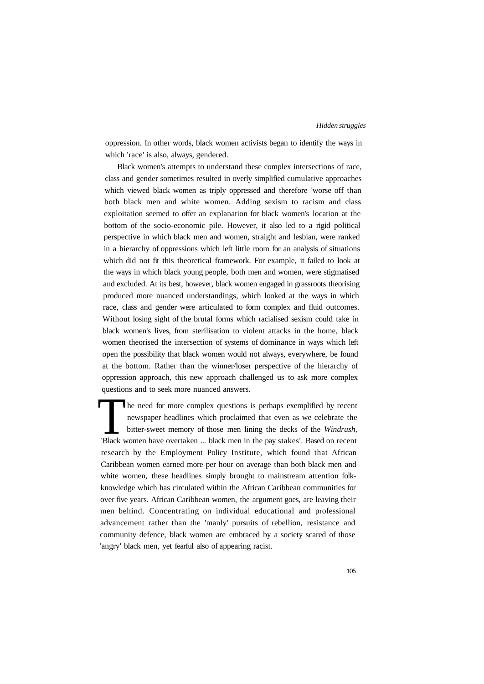oppression. In other words, black women activists began to identify the ways in which 'race' is also, always, gendered.

Black women's attempts to understand these complex intersections of race, class and gender sometimes resulted in overly simplified cumulative approaches which viewed black women as triply oppressed and therefore 'worse off than both black men and white women. Adding sexism to racism and class exploitation seemed to offer an explanation for black women's location at the bottom of the socio-economic pile. However, it also led to a rigid political perspective in which black men and women, straight and lesbian, were ranked in a hierarchy of oppressions which left little room for an analysis of situations which did not fit this theoretical framework. For example, it failed to look at the ways in which black young people, both men and women, were stigmatised and excluded. At its best, however, black women engaged in grassroots theorising produced more nuanced understandings, which looked at the ways in which race, class and gender were articulated to form complex and fluid outcomes. Without losing sight of the brutal forms which racialised sexism could take in black women's lives, from sterilisation to violent attacks in the home, black women theorised the intersection of systems of dominance in ways which left open the possibility that black women would not always, everywhere, be found at the bottom. Rather than the winner/loser perspective of the hierarchy of oppression approach, this new approach challenged us to ask more complex questions and to seek more nuanced answers.

The need for more complex questions is perhaps exemplified by recent newspaper headlines which proclaimed that even as we celebrate the bitter-sweet memory of those men lining the decks of the *Windrush*, 'Black women have he need for more complex questions is perhaps exemplified by recent newspaper headlines which proclaimed that even as we celebrate the bitter-sweet memory of those men lining the decks of the *Windrush,*  research by the Employment Policy Institute, which found that African Caribbean women earned more per hour on average than both black men and white women, these headlines simply brought to mainstream attention folkknowledge which has circulated within the African Caribbean communities for over five years. African Caribbean women, the argument goes, are leaving their men behind. Concentrating on individual educational and professional advancement rather than the 'manly' pursuits of rebellion, resistance and community defence, black women are embraced by a society scared of those 'angry' black men, yet fearful also of appearing racist.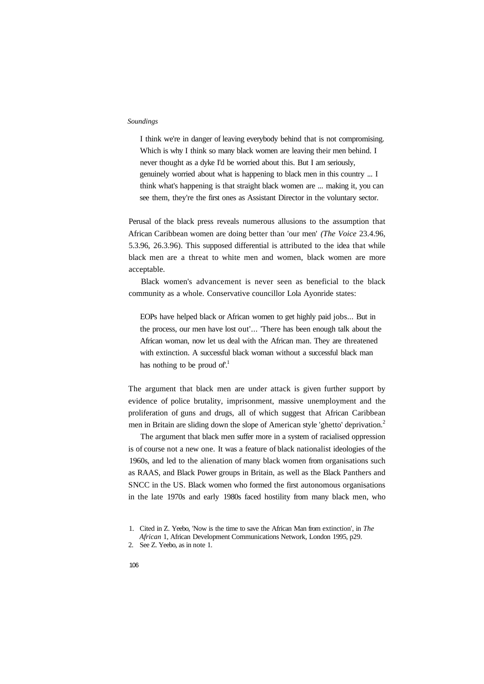I think we're in danger of leaving everybody behind that is not compromising. Which is why I think so many black women are leaving their men behind. I never thought as a dyke I'd be worried about this. But I am seriously, genuinely worried about what is happening to black men in this country ... I think what's happening is that straight black women are ... making it, you can see them, they're the first ones as Assistant Director in the voluntary sector.

Perusal of the black press reveals numerous allusions to the assumption that African Caribbean women are doing better than 'our men' *(The Voice* 23.4.96, 5.3.96, 26.3.96). This supposed differential is attributed to the idea that while black men are a threat to white men and women, black women are more acceptable.

Black women's advancement is never seen as beneficial to the black community as a whole. Conservative councillor Lola Ayonride states:

EOPs have helped black or African women to get highly paid jobs... But in the process, our men have lost out'... 'There has been enough talk about the African woman, now let us deal with the African man. They are threatened with extinction. A successful black woman without a successful black man has nothing to be proud of. $<sup>1</sup>$ </sup>

The argument that black men are under attack is given further support by evidence of police brutality, imprisonment, massive unemployment and the proliferation of guns and drugs, all of which suggest that African Caribbean men in Britain are sliding down the slope of American style 'ghetto' deprivation.<sup>2</sup>

The argument that black men suffer more in a system of racialised oppression is of course not a new one. It was a feature of black nationalist ideologies of the 1960s, and led to the alienation of many black women from organisations such as RAAS, and Black Power groups in Britain, as well as the Black Panthers and SNCC in the US. Black women who formed the first autonomous organisations in the late 1970s and early 1980s faced hostility from many black men, who

<sup>1.</sup> Cited in Z. Yeebo, 'Now is the time to save the African Man from extinction', in *The African* 1, African Development Communications Network, London 1995, p29.

<sup>2.</sup> See Z. Yeebo, as in note 1.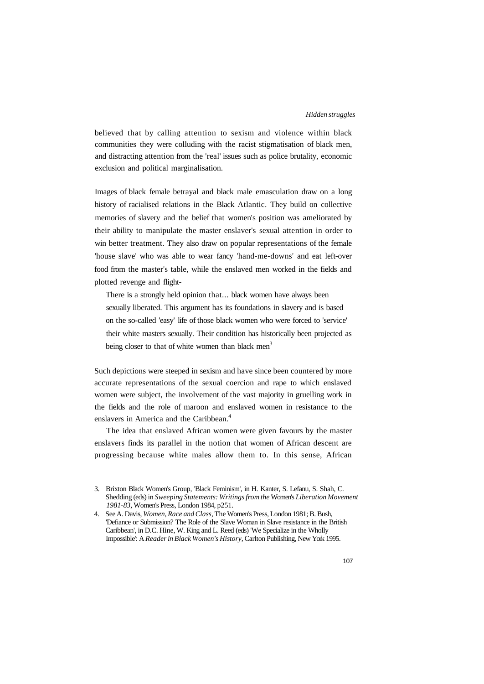believed that by calling attention to sexism and violence within black communities they were colluding with the racist stigmatisation of black men, and distracting attention from the 'real' issues such as police brutality, economic exclusion and political marginalisation.

Images of black female betrayal and black male emasculation draw on a long history of racialised relations in the Black Atlantic. They build on collective memories of slavery and the belief that women's position was ameliorated by their ability to manipulate the master enslaver's sexual attention in order to win better treatment. They also draw on popular representations of the female 'house slave' who was able to wear fancy 'hand-me-downs' and eat left-over food from the master's table, while the enslaved men worked in the fields and plotted revenge and flight-

There is a strongly held opinion that... black women have always been sexually liberated. This argument has its foundations in slavery and is based on the so-called 'easy' life of those black women who were forced to 'service' their white masters sexually. Their condition has historically been projected as being closer to that of white women than black men<sup>3</sup>

Such depictions were steeped in sexism and have since been countered by more accurate representations of the sexual coercion and rape to which enslaved women were subject, the involvement of the vast majority in gruelling work in the fields and the role of maroon and enslaved women in resistance to the enslavers in America and the Caribbean.<sup>4</sup>

The idea that enslaved African women were given favours by the master enslavers finds its parallel in the notion that women of African descent are progressing because white males allow them to. In this sense, African

<sup>3.</sup> Brixton Black Women's Group, 'Black Feminism', in H. Kanter, S. Lefanu, S. Shah, C. Shedding (eds) in *Sweeping Statements: Writings from the* Women's *Liberation Movement 1981-83,* Women's Press, London 1984, p251.

<sup>4.</sup> See A. Davis, *Women, Race and Class,* The Women's Press, London 1981; B. Bush, 'Defiance or Submission? The Role of the Slave Woman in Slave resistance in the British Caribbean', in D.C. Hine, W. King and L. Reed (eds) 'We Specialize in the Wholly Impossible': A *Reader in Black Women's History,* Carlton Publishing, New York 1995.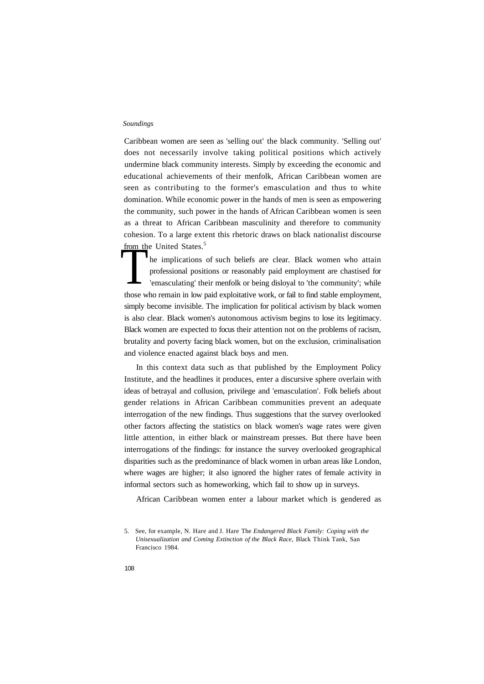Caribbean women are seen as 'selling out' the black community. 'Selling out' does not necessarily involve taking political positions which actively undermine black community interests. Simply by exceeding the economic and educational achievements of their menfolk, African Caribbean women are seen as contributing to the former's emasculation and thus to white domination. While economic power in the hands of men is seen as empowering the community, such power in the hands of African Caribbean women is seen as a threat to African Caribbean masculinity and therefore to community cohesion. To a large extent this rhetoric draws on black nationalist discourse from the United States.<sup>5</sup>

T he implications of such beliefs are clear. Black women who attain professional positions or reasonably paid employment are chastised for 'emasculating' their menfolk or being disloyal to 'the community'; while those who remain in low paid exploitative work, or fail to find stable employment, simply become invisible. The implication for political activism by black women is also clear. Black women's autonomous activism begins to lose its legitimacy. Black women are expected to focus their attention not on the problems of racism, brutality and poverty facing black women, but on the exclusion, criminalisation and violence enacted against black boys and men.

In this context data such as that published by the Employment Policy Institute, and the headlines it produces, enter a discursive sphere overlain with ideas of betrayal and collusion, privilege and 'emasculation'. Folk beliefs about gender relations in African Caribbean communities prevent an adequate interrogation of the new findings. Thus suggestions that the survey overlooked other factors affecting the statistics on black women's wage rates were given little attention, in either black or mainstream presses. But there have been interrogations of the findings: for instance the survey overlooked geographical disparities such as the predominance of black women in urban areas like London, where wages are higher; it also ignored the higher rates of female activity in informal sectors such as homeworking, which fail to show up in surveys.

African Caribbean women enter a labour market which is gendered as

<sup>5.</sup> See, for example, N. Hare and J. Hare The *Endangered Black Family: Coping with the Unisexualization and Coming Extinction of the Black Race,* Black Think Tank, San Francisco 1984.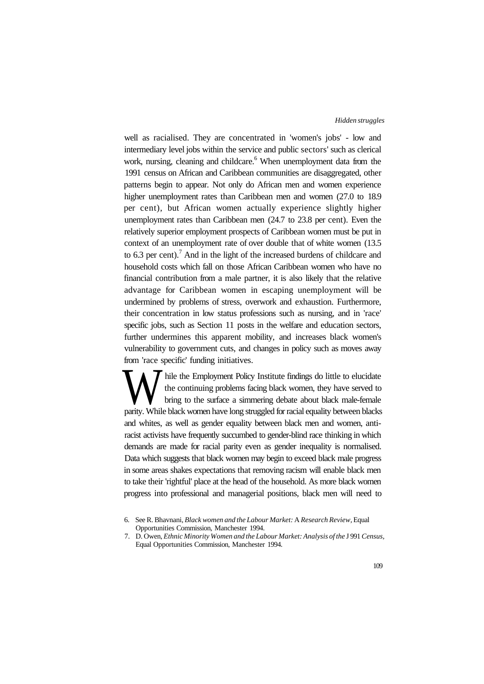well as racialised. They are concentrated in 'women's jobs' - low and intermediary level jobs within the service and public sectors' such as clerical work, nursing, cleaning and childcare.<sup>6</sup> When unemployment data from the 1991 census on African and Caribbean communities are disaggregated, other patterns begin to appear. Not only do African men and women experience higher unemployment rates than Caribbean men and women (27.0 to 18.9 per cent), but African women actually experience slightly higher unemployment rates than Caribbean men (24.7 to 23.8 per cent). Even the relatively superior employment prospects of Caribbean women must be put in context of an unemployment rate of over double that of white women (13.5 to 6.3 per cent). $^7$  And in the light of the increased burdens of childcare and household costs which fall on those African Caribbean women who have no financial contribution from a male partner, it is also likely that the relative advantage for Caribbean women in escaping unemployment will be undermined by problems of stress, overwork and exhaustion. Furthermore, their concentration in low status professions such as nursing, and in 'race' specific jobs, such as Section 11 posts in the welfare and education sectors, further undermines this apparent mobility, and increases black women's vulnerability to government cuts, and changes in policy such as moves away from 'race specific' funding initiatives.

while the Employment Policy Institute findings do little to elucidate<br>the continuing problems facing black women, they have served to<br>bring to the surface a simmering debate about black male-female<br>parity. While black wome hile the Employment Policy Institute findings do little to elucidate the continuing problems facing black women, they have served to bring to the surface a simmering debate about black male-female and whites, as well as gender equality between black men and women, antiracist activists have frequently succumbed to gender-blind race thinking in which demands are made for racial parity even as gender inequality is normalised. Data which suggests that black women may begin to exceed black male progress in some areas shakes expectations that removing racism will enable black men to take their 'rightful' place at the head of the household. As more black women progress into professional and managerial positions, black men will need to

<sup>6.</sup> See R. Bhavnani, *Black women and the Labour Market:* A *Research Review,* Equal Opportunities Commission, Manchester 1994.

<sup>7.</sup> D. Owen, *Ethnic Minority Women and the Labour Market: Analysis of the* J 991 *Census,*  Equal Opportunities Commission, Manchester 1994.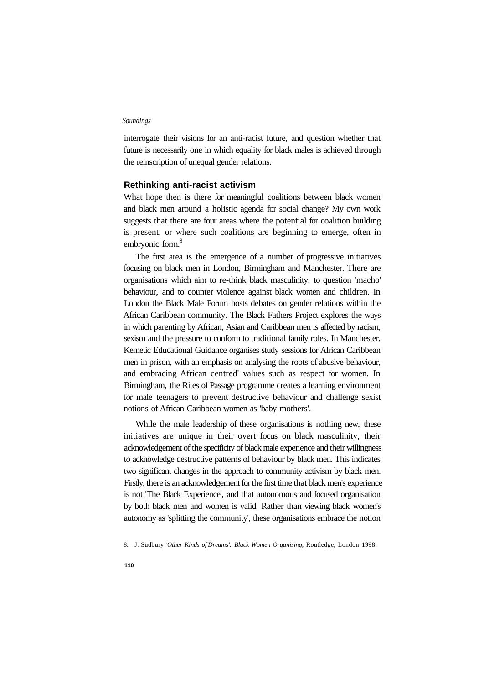interrogate their visions for an anti-racist future, and question whether that future is necessarily one in which equality for black males is achieved through the reinscription of unequal gender relations.

#### **Rethinking anti-racist activism**

What hope then is there for meaningful coalitions between black women and black men around a holistic agenda for social change? My own work suggests that there are four areas where the potential for coalition building is present, or where such coalitions are beginning to emerge, often in embryonic form.<sup>8</sup>

The first area is the emergence of a number of progressive initiatives focusing on black men in London, Birmingham and Manchester. There are organisations which aim to re-think black masculinity, to question 'macho' behaviour, and to counter violence against black women and children. In London the Black Male Forum hosts debates on gender relations within the African Caribbean community. The Black Fathers Project explores the ways in which parenting by African, Asian and Caribbean men is affected by racism, sexism and the pressure to conform to traditional family roles. In Manchester, Kemetic Educational Guidance organises study sessions for African Caribbean men in prison, with an emphasis on analysing the roots of abusive behaviour, and embracing African centred' values such as respect for women. In Birmingham, the Rites of Passage programme creates a learning environment for male teenagers to prevent destructive behaviour and challenge sexist notions of African Caribbean women as 'baby mothers'.

While the male leadership of these organisations is nothing new, these initiatives are unique in their overt focus on black masculinity, their acknowledgement of the specificity of black male experience and their willingness to acknowledge destructive patterns of behaviour by black men. This indicates two significant changes in the approach to community activism by black men. Firstly, there is an acknowledgement for the first time that black men's experience is not 'The Black Experience', and that autonomous and focused organisation by both black men and women is valid. Rather than viewing black women's autonomy as 'splitting the community', these organisations embrace the notion

<sup>8.</sup> J. Sudbury *'Other Kinds of Dreams': Black Women Organising,* Routledge, London 1998.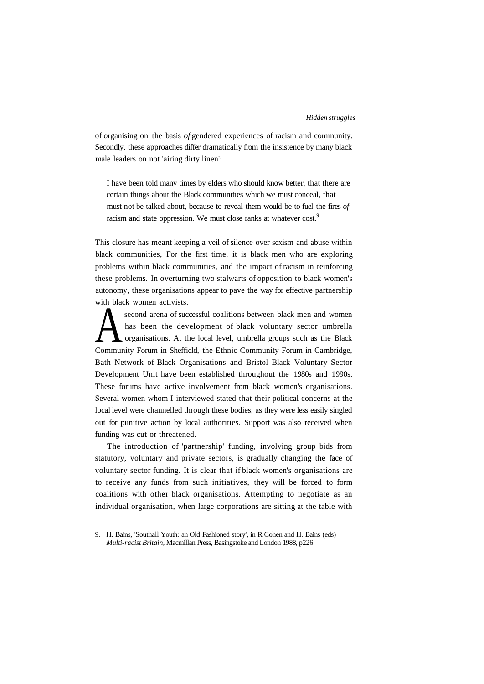of organising on the basis *of* gendered experiences of racism and community. Secondly, these approaches differ dramatically from the insistence by many black male leaders on not 'airing dirty linen':

I have been told many times by elders who should know better, that there are certain things about the Black communities which we must conceal, that must not be talked about, because to reveal them would be to fuel the fires *of*  racism and state oppression. We must close ranks at whatever cost.<sup>9</sup>

This closure has meant keeping a veil of silence over sexism and abuse within black communities, For the first time, it is black men who are exploring problems within black communities, and the impact of racism in reinforcing these problems. In overturning two stalwarts of opposition to black women's autonomy, these organisations appear to pave the way for effective partnership with black women activists.

second arena of successful coalitions between black men and women<br>has been the development of black voluntary sector umbrella<br>organisations. At the local level, umbrella groups such as the Black<br>Community Forum in Sheffiel second arena of successful coalitions between black men and women has been the development of black voluntary sector umbrella organisations. At the local level, umbrella groups such as the Black Bath Network of Black Organisations and Bristol Black Voluntary Sector Development Unit have been established throughout the 1980s and 1990s. These forums have active involvement from black women's organisations. Several women whom I interviewed stated that their political concerns at the local level were channelled through these bodies, as they were less easily singled out for punitive action by local authorities. Support was also received when funding was cut or threatened.

The introduction of 'partnership' funding, involving group bids from statutory, voluntary and private sectors, is gradually changing the face of voluntary sector funding. It is clear that if black women's organisations are to receive any funds from such initiatives, they will be forced to form coalitions with other black organisations. Attempting to negotiate as an individual organisation, when large corporations are sitting at the table with

9. H. Bains, 'Southall Youth: an Old Fashioned story', in R Cohen and H. Bains (eds) *Multi-racist Britain,* Macmillan Press, Basingstoke and London 1988, p226.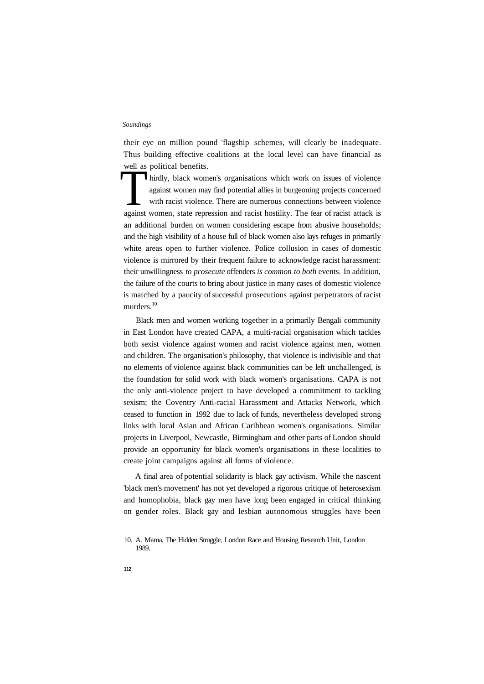their eye on million pound 'flagship schemes, will clearly be inadequate. Thus building effective coalitions at the local level can have financial as well as political benefits.

hirdly, black women's organisations which work on issues of violence against women may find potential allies in burgeoning projects concerned with racist violence. There are numerous connections between violence against wo hirdly, black women's organisations which work on issues of violence against women may find potential allies in burgeoning projects concerned with racist violence. There are numerous connections between violence an additional burden on women considering escape from abusive households; and the high visibility of a house full of black women also lays refuges in primarily white areas open to further violence. Police collusion in cases of domestic violence is mirrored by their frequent failure to acknowledge racist harassment: their unwillingness *to prosecute* offenders *is common to both* events. In addition, the failure of the courts to bring about justice in many cases of domestic violence is matched by a paucity of successful prosecutions against perpetrators of racist murders.<sup>10</sup>

Black men and women working together in a primarily Bengali community in East London have created CAPA, a multi-racial organisation which tackles both sexist violence against women and racist violence against men, women and children. The organisation's philosophy, that violence is indivisible and that no elements of violence against black communities can be left unchallenged, is the foundation for solid work with black women's organisations. CAPA is not the only anti-violence project to have developed a commitment to tackling sexism; the Coventry Anti-racial Harassment and Attacks Network, which ceased to function in 1992 due to lack of funds, nevertheless developed strong links with local Asian and African Caribbean women's organisations. Similar projects in Liverpool, Newcastle, Birmingham and other parts of London should provide an opportunity for black women's organisations in these localities to create joint campaigns against all forms of violence.

A final area of potential solidarity is black gay activism. While the nascent 'black men's movement' has not yet developed a rigorous critique of heterosexism and homophobia, black gay men have long been engaged in critical thinking on gender roles. Black gay and lesbian autonomous struggles have been

<sup>10.</sup> A. Mama, The Hidden Struggle, London Race and Housing Research Unit, London 1989.